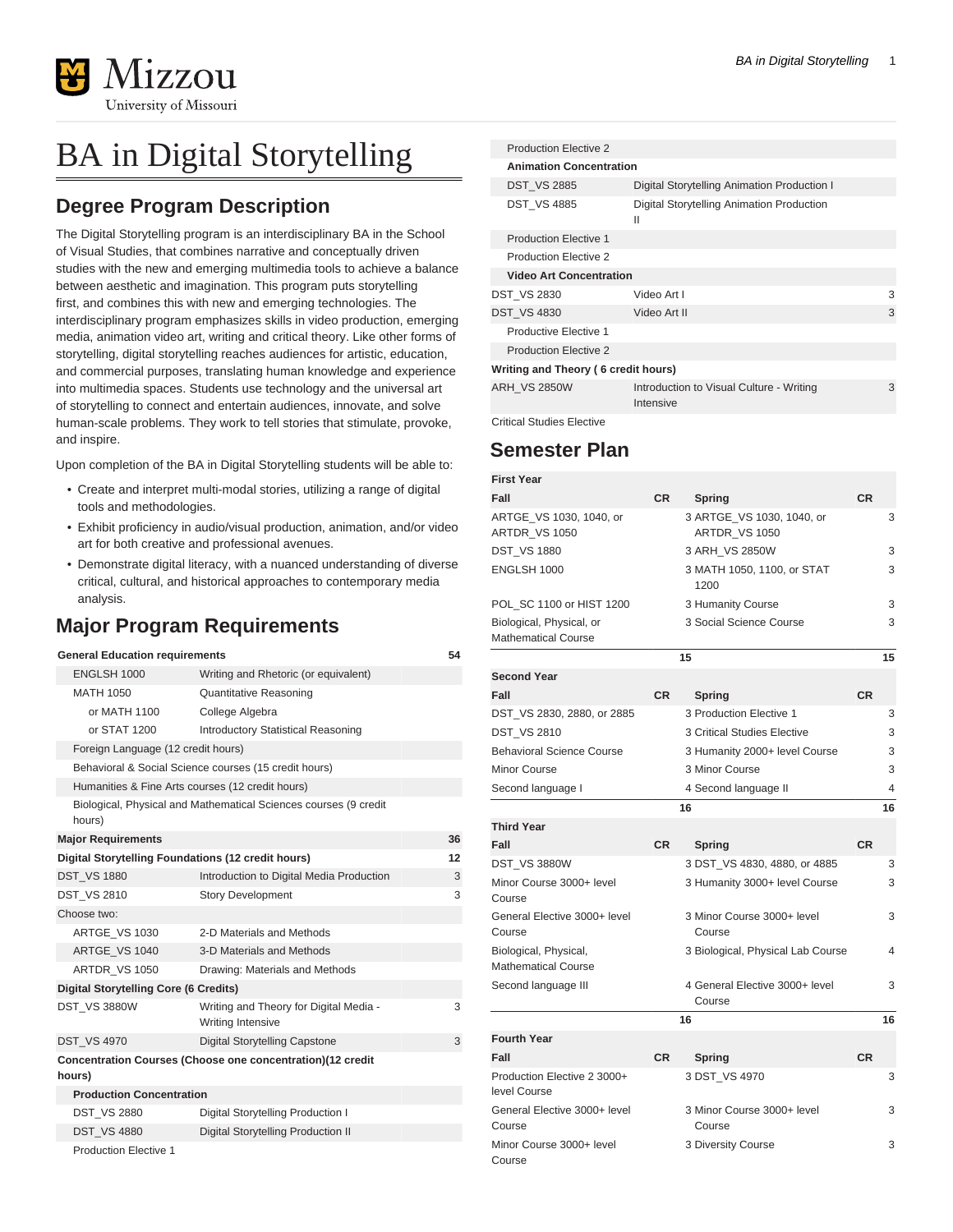

## BA in Digital Storytelling

## **Degree Program Description**

The Digital Storytelling program is an interdisciplinary BA in the School of Visual Studies, that combines narrative and conceptually driven studies with the new and emerging multimedia tools to achieve a balance between aesthetic and imagination. This program puts storytelling first, and combines this with new and emerging technologies. The interdisciplinary program emphasizes skills in video production, emerging media, animation video art, writing and critical theory. Like other forms of storytelling, digital storytelling reaches audiences for artistic, education, and commercial purposes, translating human knowledge and experience into multimedia spaces. Students use technology and the universal art of storytelling to connect and entertain audiences, innovate, and solve human-scale problems. They work to tell stories that stimulate, provoke, and inspire.

Upon completion of the BA in Digital Storytelling students will be able to:

- Create and interpret multi-modal stories, utilizing a range of digital tools and methodologies.
- Exhibit proficiency in audio/visual production, animation, and/or video art for both creative and professional avenues.
- Demonstrate digital literacy, with a nuanced understanding of diverse critical, cultural, and historical approaches to contemporary media analysis.

## **Major Program Requirements**

| <b>General Education requirements</b><br>54                                |                                                             |   |  |  |  |  |
|----------------------------------------------------------------------------|-------------------------------------------------------------|---|--|--|--|--|
| ENGLSH 1000                                                                | Writing and Rhetoric (or equivalent)                        |   |  |  |  |  |
| MATH 1050                                                                  | <b>Quantitative Reasoning</b>                               |   |  |  |  |  |
| or MATH 1100                                                               | College Algebra                                             |   |  |  |  |  |
| or STAT 1200                                                               | <b>Introductory Statistical Reasoning</b>                   |   |  |  |  |  |
| Foreign Language (12 credit hours)                                         |                                                             |   |  |  |  |  |
| Behavioral & Social Science courses (15 credit hours)                      |                                                             |   |  |  |  |  |
| Humanities & Fine Arts courses (12 credit hours)                           |                                                             |   |  |  |  |  |
| Biological, Physical and Mathematical Sciences courses (9 credit<br>hours) |                                                             |   |  |  |  |  |
| <b>Major Requirements</b>                                                  |                                                             |   |  |  |  |  |
| Digital Storytelling Foundations (12 credit hours)<br>12                   |                                                             |   |  |  |  |  |
| <b>DST VS 1880</b>                                                         | Introduction to Digital Media Production                    | 3 |  |  |  |  |
| <b>DST VS 2810</b>                                                         | <b>Story Development</b>                                    | 3 |  |  |  |  |
| Choose two:                                                                |                                                             |   |  |  |  |  |
| ARTGE VS 1030                                                              | 2-D Materials and Methods                                   |   |  |  |  |  |
| ARTGE VS 1040                                                              | 3-D Materials and Methods                                   |   |  |  |  |  |
| ARTDR VS 1050                                                              | Drawing: Materials and Methods                              |   |  |  |  |  |
| <b>Digital Storytelling Core (6 Credits)</b>                               |                                                             |   |  |  |  |  |
| <b>DST VS 3880W</b>                                                        | Writing and Theory for Digital Media -<br>Writing Intensive | 3 |  |  |  |  |
| <b>DST VS 4970</b>                                                         | <b>Digital Storytelling Capstone</b>                        | 3 |  |  |  |  |
| Concentration Courses (Choose one concentration)(12 credit                 |                                                             |   |  |  |  |  |
| hours)                                                                     |                                                             |   |  |  |  |  |
|                                                                            | <b>Production Concentration</b>                             |   |  |  |  |  |
| <b>DST_VS 2880</b>                                                         | Digital Storytelling Production I                           |   |  |  |  |  |
| <b>DST VS 4880</b>                                                         | Digital Storytelling Production II                          |   |  |  |  |  |
|                                                                            | <b>Production Elective 1</b>                                |   |  |  |  |  |

|                                     | <b>Production Elective 2</b>   |                                                           |   |  |  |
|-------------------------------------|--------------------------------|-----------------------------------------------------------|---|--|--|
|                                     | <b>Animation Concentration</b> |                                                           |   |  |  |
|                                     | <b>DST VS 2885</b>             | Digital Storytelling Animation Production I               |   |  |  |
|                                     | <b>DST VS 4885</b>             | Digital Storytelling Animation Production<br>$\mathsf{I}$ |   |  |  |
|                                     | <b>Production Elective 1</b>   |                                                           |   |  |  |
|                                     | <b>Production Elective 2</b>   |                                                           |   |  |  |
|                                     | <b>Video Art Concentration</b> |                                                           |   |  |  |
| <b>DST VS 2830</b>                  |                                | Video Art I                                               | 3 |  |  |
|                                     | <b>DST VS 4830</b>             | Video Art II                                              | 3 |  |  |
|                                     | Productive Elective 1          |                                                           |   |  |  |
|                                     | <b>Production Elective 2</b>   |                                                           |   |  |  |
| Writing and Theory (6 credit hours) |                                |                                                           |   |  |  |
|                                     | <b>ARH VS 2850W</b>            | Introduction to Visual Culture - Writing<br>Intensive     | 3 |  |  |

Critical Studies Elective

## **Semester Plan**

| <b>First Year</b>                                      |           |                                            |           |    |
|--------------------------------------------------------|-----------|--------------------------------------------|-----------|----|
| Fall                                                   | <b>CR</b> | <b>Spring</b>                              | CR        |    |
| ARTGE_VS 1030, 1040, or<br>ARTDR_VS 1050               |           | 3 ARTGE_VS 1030, 1040, or<br>ARTDR_VS 1050 |           | 3  |
| <b>DST_VS 1880</b>                                     |           | 3 ARH_VS 2850W                             |           | 3  |
| ENGLSH 1000                                            |           | 3 MATH 1050, 1100, or STAT<br>1200         |           | 3  |
| POL_SC 1100 or HIST 1200                               |           | 3 Humanity Course                          |           | 3  |
| Biological, Physical, or<br><b>Mathematical Course</b> |           | 3 Social Science Course                    |           | 3  |
|                                                        |           | 15                                         |           | 15 |
| <b>Second Year</b>                                     |           |                                            |           |    |
| Fall                                                   | <b>CR</b> | Spring                                     | <b>CR</b> |    |
| DST_VS 2830, 2880, or 2885                             |           | 3 Production Elective 1                    |           | 3  |
| <b>DST_VS 2810</b>                                     |           | 3 Critical Studies Elective                |           | 3  |
| <b>Behavioral Science Course</b>                       |           | 3 Humanity 2000+ level Course              |           | 3  |
| <b>Minor Course</b>                                    |           | 3 Minor Course                             |           | 3  |
| Second language I                                      |           | 4 Second language II                       |           | 4  |
|                                                        |           | 16                                         |           | 16 |
| <b>Third Year</b>                                      |           |                                            |           |    |
| Fall                                                   | <b>CR</b> | Spring                                     | <b>CR</b> |    |
| <b>DST VS 3880W</b>                                    |           | 3 DST_VS 4830, 4880, or 4885               |           | 3  |
| Minor Course 3000+ level<br>Course                     |           | 3 Humanity 3000+ level Course              |           | 3  |
| General Elective 3000+ level<br>Course                 |           | 3 Minor Course 3000+ level<br>Course       |           | 3  |
| Biological, Physical,<br><b>Mathematical Course</b>    |           | 3 Biological, Physical Lab Course          |           | 4  |
| Second language III                                    |           | 4 General Elective 3000+ level<br>Course   |           | 3  |
|                                                        |           | 16                                         |           | 16 |
| <b>Fourth Year</b>                                     |           |                                            |           |    |
| Fall                                                   | <b>CR</b> | Spring                                     | <b>CR</b> |    |
| Production Elective 2 3000+<br>level Course            |           | 3 DST_VS 4970                              |           | 3  |
| General Elective 3000+ level<br>Course                 |           | 3 Minor Course 3000+ level<br>Course       |           | 3  |
| Minor Course 3000+ level<br>Course                     |           | 3 Diversity Course                         |           | 3  |